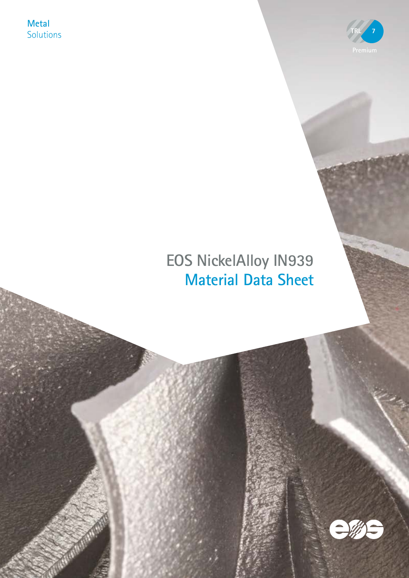**Metal Solutions** 



# **EOS NickelAlloy IN939 Material Data Sheet**

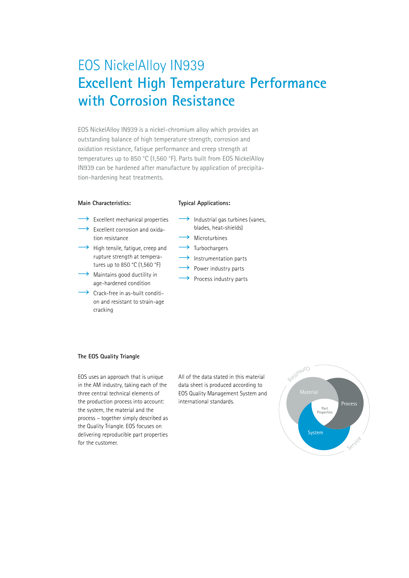# EOS NickelAlloy IN939 **Excellent High Temperature Performance with Corrosion Resistance**

EOS NickelAlloy IN939 is a nickel-chromium alloy which provides an outstanding balance of high temperature strength, corrosion and oxidation resistance, fatigue performance and creep strength at temperatures up to 850 °C (1,560 °F). Parts built from EOS NickelAlloy IN939 can be hardened after manufacture by application of precipitation-hardening heat treatments.

#### **Main Characteristics:**

#### **Typical Applications:**

- Excellent mechanical properties Excellent corrosion and oxida-
- tion resistance
- $\rightarrow$  High tensile, fatigue, creep and rupture strength at temperatures up to 850 °C (1,560 °F)
- $\rightarrow$  Maintains good ductility in age-hardened condition
- $\rightarrow$  Crack-free in as-built condition and resistant to strain-age cracking
- $\rightarrow$  Industrial gas turbines (vanes, blades, heat-shields)
- $\rightarrow$  Microturbines
	- $\rightarrow$  Turbochargers
	- $\rightarrow$  Instrumentation parts
- $\rightarrow$  Power industry parts
	- $\rightarrow$  Process industry parts

#### **The EOS Quality Triangle**

EOS uses an approach that is unique in the AM industry, taking each of the three central technical elements of the production process into account: the system, the material and the process – together simply described as the Quality Triangle. EOS focuses on delivering reproducible part properties for the customer.

All of the data stated in this material data sheet is produced according to EOS Quality Management System and international standards.

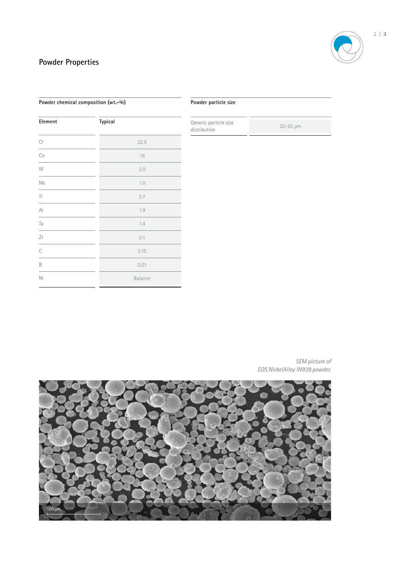# **Powder Properties**

| Element                | Typical |
|------------------------|---------|
| Cr                     | 22.5    |
| Co                     | 19      |
| W                      | 2.0     |
| Nb                     | 1.0     |
| Ti                     | 3.7     |
| $\mathsf{A}\mathsf{I}$ | 1.9     |
| Ta                     | 1.4     |
| Zr                     | 0.1     |
| $\mathsf C$            | 0.15    |
| B                      | 0.01    |
| Ni                     | Balance |

**Powder chemical composition (wt.-%)**

#### **Powder particle size**

Generic particle size distribution 20-55 µm

*SEM picture of EOS NickelAlloy IN939 powder.* 

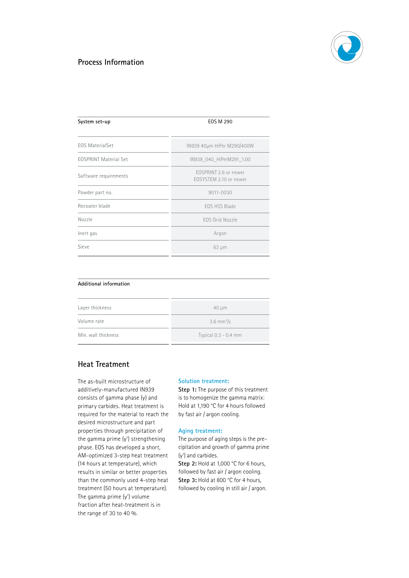

## **Process Information**

| System set-up                | EOS M 290                                       |  |  |
|------------------------------|-------------------------------------------------|--|--|
| <b>EOS MaterialSet</b>       | IN939 40µm HiPer M290/400W                      |  |  |
| <b>EOSPRINT Material Set</b> | IN939 040 HiPerM291 1.00                        |  |  |
| Software requirements        | FOSPRINT 2.6 or newer<br>FOSYSTEM 2.10 or newer |  |  |
| Powder part no.              | 9011-0030                                       |  |  |
| Recoater blade               | FOS HSS Blade                                   |  |  |
| Nozzle                       | FOS Grid Nozzle                                 |  |  |
| Inert gas                    | Argon                                           |  |  |
| Sieve                        | $63 \mu m$                                      |  |  |

### **Additional information**

| Layer thickness     | $40 \mu m$               |  |  |
|---------------------|--------------------------|--|--|
| Volume rate         | $3.6$ mm <sup>3</sup> /s |  |  |
| Min. wall thickness | Typical 0.3 - 0.4 mm     |  |  |
|                     |                          |  |  |

# **Heat Treatment**

The as-built microstructure of additively-manufactured IN939 consists of gamma phase (γ) and primary carbides. Heat treatment is required for the material to reach the desired microstructure and part properties through precipitation of the gamma prime (γ') strengthening phase. EOS has developed a short, AM-optimized 3-step heat treatment (14 hours at temperature), which results in similar or better properties than the commonly used 4-step heat treatment (50 hours at temperature). The gamma prime (γ') volume fraction after heat-treatment is in the range of 30 to 40 %.

#### **Solution treatment:**

**Step 1:** The purpose of this treatment is to homogenize the gamma matrix: Hold at 1,190 °C for 4 hours followed by fast air / argon cooling.

#### **Aging treatment:**

The purpose of aging steps is the precipitation and growth of gamma prime (γ') and carbides.

**Step 2:** Hold at 1,000 °C for 6 hours, followed by fast air / argon cooling. Step 3: Hold at 800 °C for 4 hours, followed by cooling in still air / argon.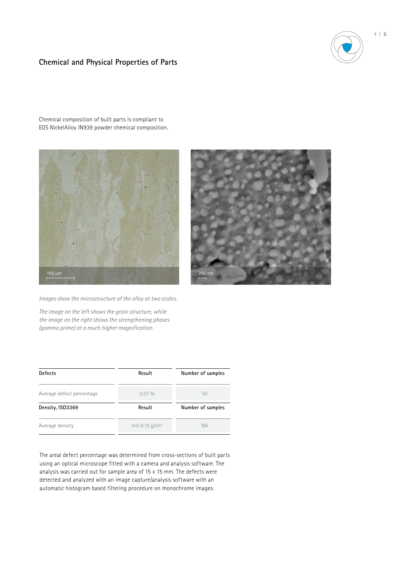# **Chemical and Physical Properties of Parts**



Chemical composition of built parts is compliant to EOS NickelAlloy IN939 powder chemical composition.





*Images show the microstructure of the alloy at two scales.*

*The image on the left shows the grain structure, while the image on the right shows the strengthening phases (gamma prime) at a much higher magnification.*

| <b>Defects</b>            | Result            | Number of samples |  |
|---------------------------|-------------------|-------------------|--|
| Average defect percentage | $0.01\%$          | 50                |  |
| Density, ISO3369          | Result            | Number of samples |  |
| Average density           | min 8.15 $q/cm^3$ | <b>NA</b>         |  |

The areal defect percentage was determined from cross-sections of built parts using an optical microscope fitted with a camera and analysis software. The analysis was carried out for sample area of 15 x 15 mm. The defects were detected and analyzed with an image capture/analysis software with an automatic histogram based filtering procedure on monochrome images.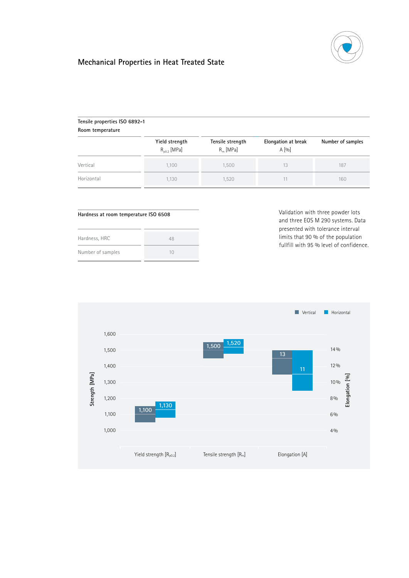

# **Mechanical Properties in Heat Treated State**

| Tensile properties ISO 6892-1<br>Room temperature |                                    |                                 |                              |                   |
|---------------------------------------------------|------------------------------------|---------------------------------|------------------------------|-------------------|
|                                                   | Yield strength<br>$R_{00.2}$ [MPa] | Tensile strength<br>$R_m$ [MPa] | Elongation at break<br>A [0] | Number of samples |
| Vertical                                          | 1,100                              | 1,500                           | 13                           | 187               |
| Horizontal                                        | 1,130                              | 1,520                           |                              | 160               |

#### **Hardness at room temperature ISO 6508**

| Hardness, HRC     | 48       |
|-------------------|----------|
| Number of samples | $1 \cap$ |

Validation with three powder lots and three EOS M 290 systems. Data presented with tolerance interval limits that 90 % of the population fullfill with 95 % level of confidence.

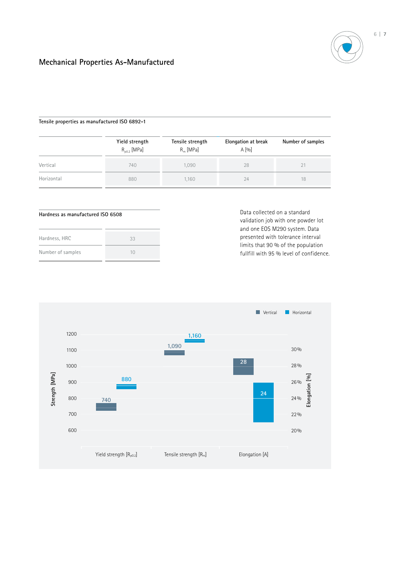

## **Mechanical Properties As-Manufactured**

#### **Tensile properties as manufactured ISO 6892-1**

|            | Yield strength<br>$R_{00.2}$ [MPa] | Tensile strength<br>$R_m$ [MPa] | Elongation at break<br>A [0] | Number of samples |  |
|------------|------------------------------------|---------------------------------|------------------------------|-------------------|--|
| Vertical   | 740                                | 1.090                           | 28                           | 21                |  |
| Horizontal | 880                                | 1.160                           | 24                           | 18                |  |

#### **Hardness as manufactured ISO 6508**

| Hardness, HRC     | 33       |
|-------------------|----------|
| Number of samples | $1 \cap$ |

Data collected on a standard validation job with one powder lot and one EOS M290 system. Data presented with tolerance interval limits that 90 % of the population fullfill with 95 % level of confidence.